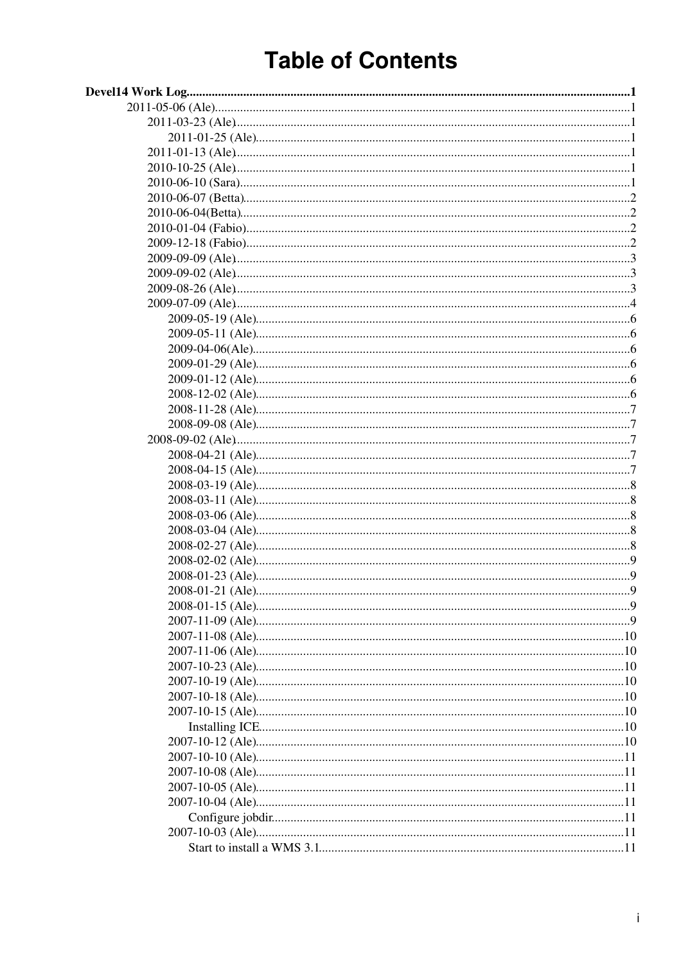# **Table of Contents**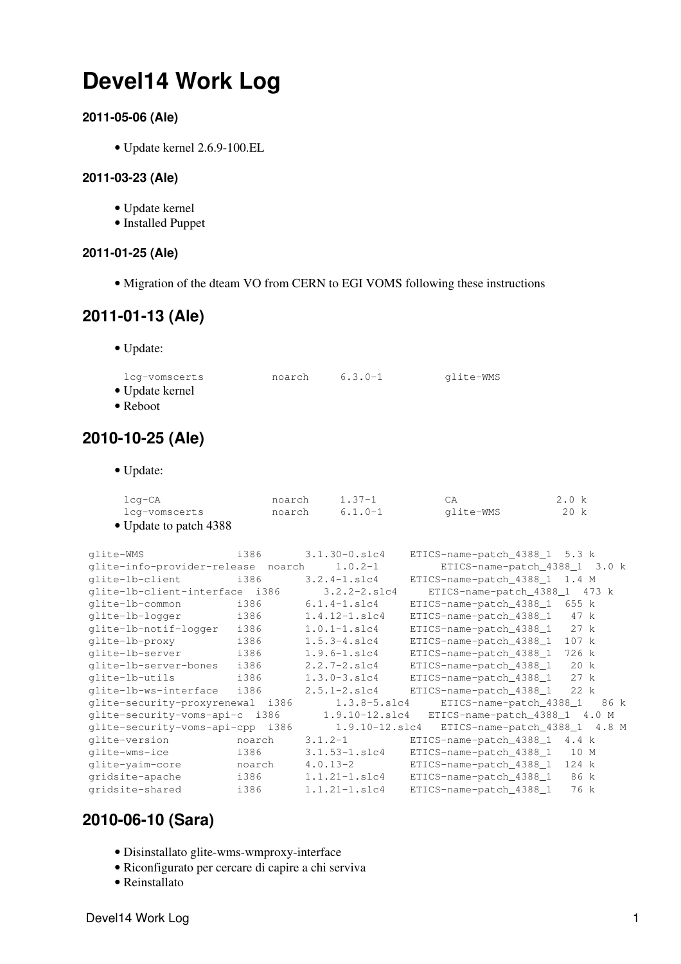# <span id="page-1-0"></span>**Devel14 Work Log**

# <span id="page-1-1"></span>**2011-05-06 (Ale)**

• Update kernel 2.6.9-100.EL

### <span id="page-1-2"></span>**2011-03-23 (Ale)**

- Update kernel
- Installed Puppet

# <span id="page-1-3"></span>**2011-01-25 (Ale)**

• Migration of the dteam VO from CERN to EGI VOMS following these [instructions](https://wiki.egi.eu/wiki/Dteam_vo)

# <span id="page-1-4"></span>**2011-01-13 (Ale)**

• Update:

| lcq-vomscerts           | noarch | $6.3.0 - 1$ | glite-WMS |
|-------------------------|--------|-------------|-----------|
| $\bullet$ Update kernel |        |             |           |
| $\bullet$ Reboot        |        |             |           |
|                         |        |             |           |

# <span id="page-1-5"></span>**2010-10-25 (Ale)**

• Update:

| lcg-CA                 | noarch | $1.37 - 1$ | СA        | 2.0 k |
|------------------------|--------|------------|-----------|-------|
| lcq-vomscerts          | noarch | 6.1.0-1    | qlite-WMS | 20 k  |
| • Update to patch 4388 |        |            |           |       |

| qlite-WMS                          | i386   | $3.1.30 - 0.$ slc4    | ETICS-name-patch_4388_1 5.3 k                |
|------------------------------------|--------|-----------------------|----------------------------------------------|
| glite-info-provider-release noarch |        | $1.0.2 - 1$           | ETICS-name-patch_4388_1 3.0 k                |
| qlite-lb-client                    | i386   | $3.2.4 - 1.$ slc4     | ETICS-name-patch_4388_1 1.4 M                |
| qlite-lb-client-interface i386     |        | $3.2.2 - 2.1$ c4      | ETICS-name-patch_4388_1<br>473 k             |
| qlite-lb-common                    | i386   | $6.1.4 - 1.$ slc $4$  | ETICS-name-patch_4388_1<br>655 k             |
| glite-lb-logger                    | i386   | $1.4.12 - 1.$ slc $4$ | ETICS-name-patch_4388_1<br>47 k              |
| qlite-lb-notif-loqqer              | i386   | $1.0.1 - 1.$ slc4     | ETICS-name-patch_4388_1<br>27 k              |
| qlite-lb-proxy                     | i386   | $1.5.3 - 4.$ slc4     | ETICS-name-patch_4388_1<br>107 k             |
| glite-lb-server                    | i386   | $1.9.6 - 1.$ slc4     | ETICS-name-patch_4388_1<br>726 k             |
| qlite-lb-server-bones              | i386   | $2.2.7 - 2.51c4$      | ETICS-name-patch_4388_1<br>20 k              |
| glite-lb-utils                     | i386   | $1.3.0 - 3.1 c4$      | 27 k<br>ETICS-name-patch_4388_1              |
| qlite-lb-ws-interface              | i386   | $2.5.1 - 2.$ slc4     | ETICS-name-patch_4388_1<br>22 k              |
| qlite-security-proxyrenewal i386   |        | $1.3.8 - 5. s1c4$     | ETICS-name-patch_4388_1<br>86 k              |
| qlite-security-voms-api-c i386     |        |                       | 1.9.10-12.slc4 ETICS-name-patch_4388_1 4.0 M |
| qlite-security-voms-api-cpp        | i386   | $1.9.10 - 12.$ slc4   | ETICS-name-patch_4388_1 4.8 M                |
| glite-version                      | noarch | $3.1.2 - 1$           | ETICS-name-patch_4388_1<br>4.4 k             |
| glite-wms-ice                      | i386   | $3.1.53 - 1. s1c4$    | ETICS-name-patch_4388_1<br>10 M              |
| glite-yaim-core                    | noarch | $4.0.13 - 2$          | ETICS-name-patch_4388_1<br>124 k             |
| gridsite-apache                    | i386   | $1.1.21 - 1.$ slc4    | ETICS-name-patch_4388_1<br>86 k              |
| gridsite-shared                    | i386   | $1.1.21 - 1.$ slc4    | ETICS-name-patch_4388_1<br>76 k              |
|                                    |        |                       |                                              |

# <span id="page-1-6"></span>**2010-06-10 (Sara)**

- Disinstallato glite-wms-wmproxy-interface
- Riconfigurato per cercare di capire a chi serviva
- Reinstallato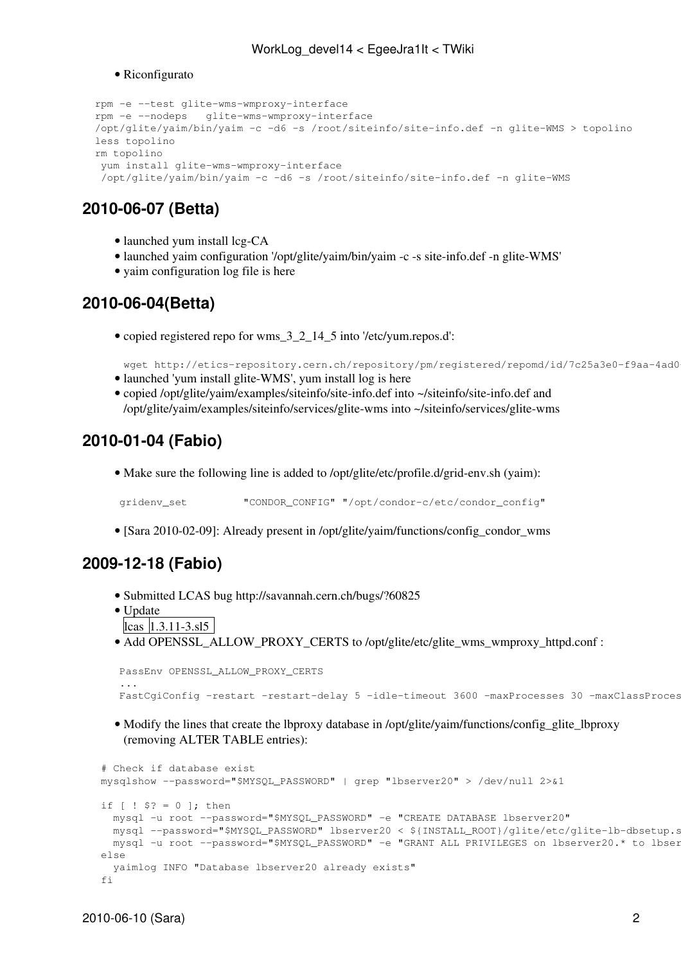#### • Riconfigurato

```
 rpm -e --test glite-wms-wmproxy-interface
 rpm -e --nodeps glite-wms-wmproxy-interface
 /opt/glite/yaim/bin/yaim -c -d6 -s /root/siteinfo/site-info.def -n glite-WMS > topolino
 less topolino 
 rm topolino 
 yum install glite-wms-wmproxy-interface
  /opt/glite/yaim/bin/yaim -c -d6 -s /root/siteinfo/site-info.def -n glite-WMS
```
# <span id="page-2-0"></span>**2010-06-07 (Betta)**

- launched yum install lcg-CA
- launched yaim configuration '/opt/glite/yaim/bin/yaim -c -s site-info.def -n glite-WMS'
- vaim configuration log file is [here](https://twiki.cnaf.infn.it/twiki/bin/viewfile/EgeeJra1It/WorkLog_devel14?rev=1;filename=yaim_install_log)

# <span id="page-2-1"></span>**2010-06-04(Betta)**

• copied registered repo for wms\_3\_2\_14\_5 into '/etc/yum.repos.d':

wget http://etics-repository.cern.ch/repository/pm/registered/repomd/id/7c25a3e0-f9aa-4ad0 • launched 'yum install glite-WMS', yum install log is [here](https://twiki.cnaf.infn.it/twiki/pub/EgeeJra1It/WorkLog_devel14/yum_install_WMS_log)

• copied /opt/glite/yaim/examples/siteinfo/site-info.def into ~/siteinfo/site-info.def and /opt/glite/yaim/examples/siteinfo/services/glite-wms into ~/siteinfo/services/glite-wms

# <span id="page-2-2"></span>**2010-01-04 (Fabio)**

• Make sure the following line is added to /opt/glite/etc/profile.d/grid-env.sh (yaim):

gridenv\_set "CONDOR\_CONFIG" "/opt/condor-c/etc/condor\_config"

• [Sara 2010-02-09]: Already present in /opt/glite/yaim/functions/config\_condor\_wms

# <span id="page-2-3"></span>**2009-12-18 (Fabio)**

- Submitted LCAS bug<http://savannah.cern.ch/bugs/?60825>
- Update
- $\text{lcas}$   $|1.3.11 3.815|$
- Add OPENSSL\_ALLOW\_PROXY\_CERTS to /opt/glite/etc/glite\_wms\_wmproxy\_httpd.conf :

```
 PassEnv OPENSSL_ALLOW_PROXY_CERTS
 ...
     FastCqiConfiq -restart -restart-delay 5 -idle-timeout 3600 -maxProcesses 30 -maxClassProces
```
• Modify the lines that create the lbproxy database in /opt/glite/yaim/functions/config\_glite\_lbproxy (removing ALTER TABLE entries):

```
 # Check if database exist
 mysqlshow --password="$MYSQL_PASSWORD" | grep "lbserver20" > /dev/null 2>&1
if [ | $? = 0 ]; then
  mysql -u root --password="$MYSQL_PASSWORD" -e "CREATE DATABASE lbserver20"
  mysql --password="$MYSQL_PASSWORD" lbserver20 < ${INSTALL_ROOT}/glite/etc/glite-lb-dbsetup.sql
 mysql -u root --password="$MYSQL_PASSWORD" -e "GRANT ALL PRIVILEGES on lbserver20.* to lbser
 else
   yaimlog INFO "Database lbserver20 already exists"
 fi
```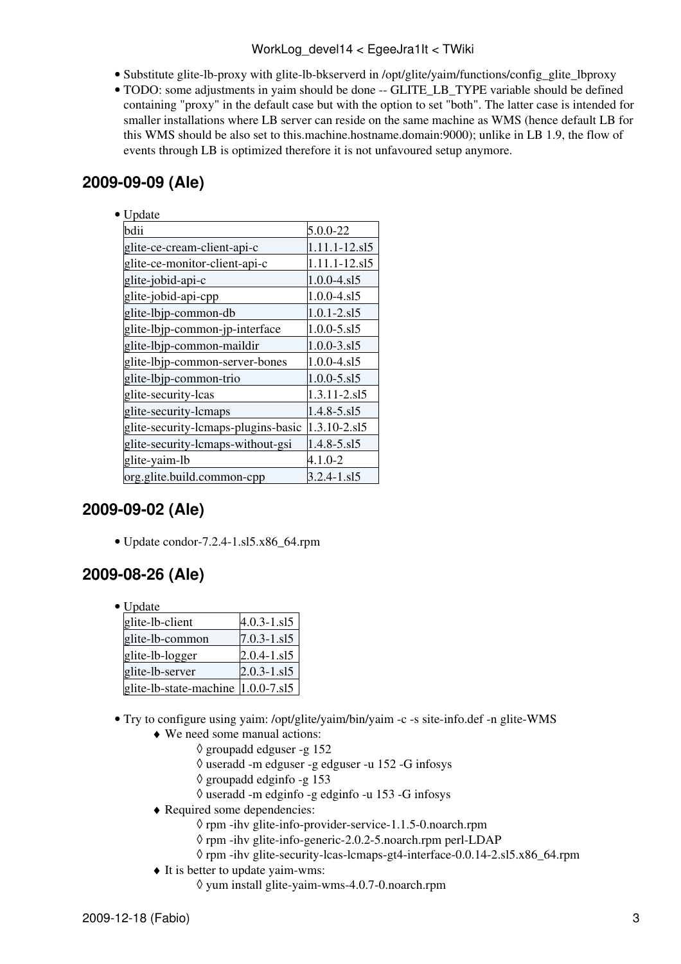# WorkLog\_devel14 < EgeeJra1It < TWiki

- Substitute glite-lb-proxy with glite-lb-bkserverd in /opt/glite/yaim/functions/config\_glite\_lbproxy
- TODO: some adjustments in yaim should be done -- GLITE\_LB\_TYPE variable should be defined containing "proxy" in the default case but with the option to set "both". The latter case is intended for smaller installations where LB server can reside on the same machine as WMS (hence default LB for this WMS should be also set to this.machine.hostname.domain:9000); unlike in LB 1.9, the flow of events through LB is optimized therefore it is not unfavoured setup anymore.

# <span id="page-3-0"></span>**2009-09-09 (Ale)**

| Update                              |                     |
|-------------------------------------|---------------------|
| bdii                                | 5.0.0-22            |
| glite-ce-cream-client-api-c         | 1.11.1-12.sl5       |
| glite-ce-monitor-client-api-c       | 1.11.1-12.sl5       |
| glite-jobid-api-c                   | $1.0.0 - 4. s15$    |
| glite-jobid-api-cpp                 | $1.0.0 - 4. s15$    |
| glite-lbjp-common-db                | $1.0.1 - 2.$ sl $5$ |
| glite-lbjp-common-jp-interface      | $1.0.0 - 5. s15$    |
| glite-lbjp-common-maildir           | $1.0.0 - 3. s15$    |
| glite-lbjp-common-server-bones      | 1.0.0-4.s15         |
| glite-lbjp-common-trio              | $1.0.0 - 5. s15$    |
| glite-security-lcas                 | 1.3.11-2.sl5        |
| glite-security-lcmaps               | $1.4.8 - 5. s15$    |
| glite-security-lcmaps-plugins-basic | 1.3.10-2.sl5        |
| glite-security-lcmaps-without-gsi   | 1.4.8-5.sl5         |
| glite-yaim-lb                       | $4.1.0 - 2$         |
| org.glite.build.common-cpp          | 3.2.4-1.sl5         |

# <span id="page-3-1"></span>**2009-09-02 (Ale)**

• Update condor-7.2.4-1.sl5.x86\_64.rpm

# <span id="page-3-2"></span>**2009-08-26 (Ale)**

• Update

| glite-lb-client                     | $4.0.3 - 1. s15$ |
|-------------------------------------|------------------|
| glite-lb-common                     | $7.0.3 - 1. s15$ |
| glite-lb-logger                     | $2.0.4 - 1.15$   |
| glite-lb-server                     | $2.0.3 - 1.515$  |
| glite-lb-state-machine  1.0.0-7.sl5 |                  |

- Try to configure using yaim: /opt/glite/yaim/bin/yaim -c -s site-info.def -n glite-WMS
	- We need some manual actions: ♦
		- ◊ groupadd edguser -g 152
		- ◊ useradd -m edguser -g edguser -u 152 -G infosys
		- ◊ groupadd edginfo -g 153
		- ◊ useradd -m edginfo -g edginfo -u 153 -G infosys
	- Required some dependencies: ♦
		- ◊ rpm -ihv glite-info-provider-service-1.1.5-0.noarch.rpm
		- ◊ rpm -ihv glite-info-generic-2.0.2-5.noarch.rpm perl-LDAP
		- ◊ rpm -ihv glite-security-lcas-lcmaps-gt4-interface-0.0.14-2.sl5.x86\_64.rpm
	- $\blacklozenge$  It is better to update yaim-wms:
		- ◊ yum install glite-yaim-wms-4.0.7-0.noarch.rpm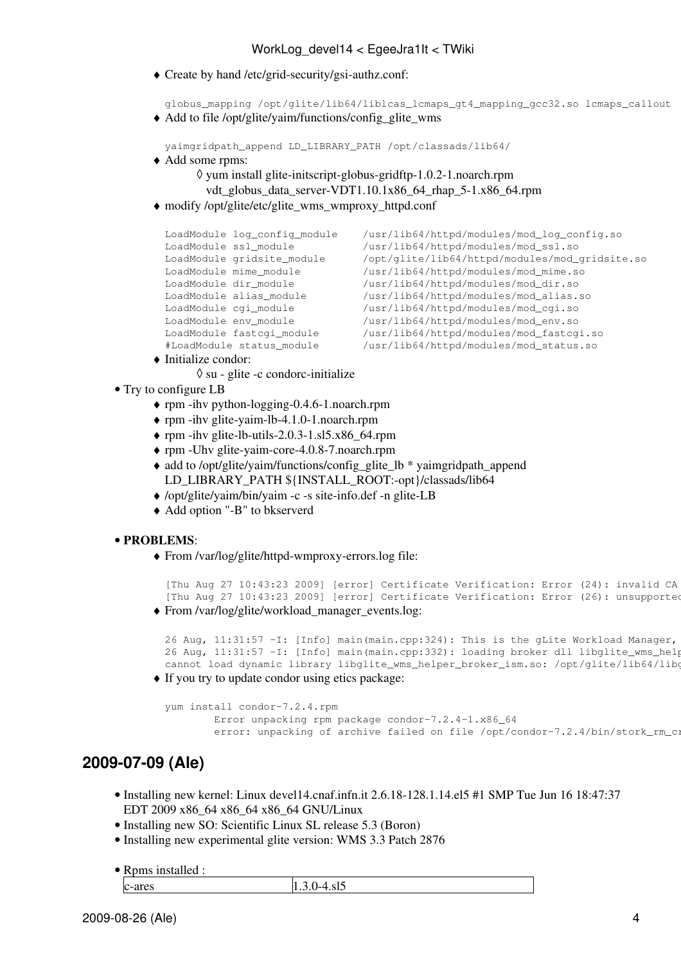Create by hand /etc/grid-security/gsi-authz.conf: ♦

globus\_mapping /opt/glite/lib64/liblcas\_lcmaps\_gt4\_mapping\_gcc32.so lcmaps\_callout Add to file /opt/glite/yaim/functions/config\_glite\_wms ♦

```
yaimgridpath_append LD_LIBRARY_PATH /opt/classads/lib64/
```
Add some rpms: ♦

```
yum install glite-initscript-globus-gridftp-1.0.2-1.noarch.rpm
◊ 
 vdt globus data server-VDT1.10.1x86 64 rhap 5-1.x86 64.rpm
```
modify /opt/glite/etc/glite\_wms\_wmproxy\_httpd.conf ♦

```
LoadModule log_config_module /usr/lib64/httpd/modules/mod_log_config.so
LoadModule ssl_module /usr/lib64/httpd/modules/mod_ssl.so
LoadModule gridsite_module /opt/glite/lib64/httpd/modules/mod_gridsite.so
LoadModule mime_module /usr/lib64/httpd/modules/mod_mime.so
\verb|loadModule dir_model| & \verb|/usr/library/modules/modules/mod_dir.so| \verb|loadModule alias_model| & \verb|/usr/library/holds/intpd/modules/modules.| \verb|.301| & \verb|.312| & \verb|.312| & \verb|.312| & \verb|.312| & \verb|.312| & \verb|.312| & \verb|.312| & \verb|.312| & \verb|.312| & \verb|.312| & \verb|.312| & \verb|.312| & \verb|.312| & \verb|.312| & \verb|.312| & \verb|.312| & \verb|.312| & \verb|.3LoadModule alias_module /usr/lib64/httpd/modules/mod_alias.so<br>
LoadModule cqi_module /usr/lib64/httpd/modules/mod_cgi.so
                                                      /usr/lib64/httpd/modules/mod_cqi.so
LoadModule env_module /usr/lib64/httpd/modules/mod_env.so
LoadModule fastcgi_module /usr/lib64/httpd/modules/mod_fastcgi.so<br>#LoadModule status_module /usr/lib64/httpd/modules/mod_status.so
                                                    \sqrt{\text{usr}/\text{lib64}/\text{httpd/modules/mod_status.so}}
```
Initialize condor: ♦

◊ su - glite -c condorc-initialize

- Try to configure LB
	- ♦ rpm -ihv python-logging-0.4.6-1.noarch.rpm
	- ♦ rpm -ihv glite-yaim-lb-4.1.0-1.noarch.rpm
	- $\triangle$  rpm -ihv glite-lb-utils-2.0.3-1.sl5.x86\_64.rpm
	- ♦ rpm -Uhv glite-yaim-core-4.0.8-7.noarch.rpm
	- add to /opt/glite/yaim/functions/config\_glite\_lb \* yaimgridpath\_append ♦ LD\_LIBRARY\_PATH \${INSTALL\_ROOT:-opt}/classads/lib64
	- ♦ /opt/glite/yaim/bin/yaim -c -s site-info.def -n glite-LB
	- ♦ Add option "-B" to bkserverd

#### **PROBLEMS**: •

From /var/log/glite/httpd-wmproxy-errors.log file: ♦

```
[Thu Aug 27 10:43:23 2009] [error] Certificate Verification: Error (24): invalid CA
  [Thu Aug 27 10:43:23 2009] [error] Certificate Verification: Error (26): unsupported
From /var/log/glite/workload_manager_events.log:
♦
```

```
26 Aug, 11:31:57 -I: [Info] main(main.cpp:324): This is the gLite Workload Manager,
26 Aug, 11:31:57 -I: [Info] main(main.cpp:332): loading broker dll libglite_wms_help
cannot load dynamic library libglite_wms_helper_broker_ism.so: /opt/glite/lib64/libg
```
If you try to update condor using etics package: ♦

```
yum install condor-7.2.4.rpm
        Error unpacking rpm package condor-7.2.4-1.x86_64
        error: unpacking of archive failed on file /opt/condor-7.2.4/bin/stork_rm_cr
```
# <span id="page-4-0"></span>**2009-07-09 (Ale)**

- Installing new kernel: Linux devel14.cnaf.infn.it 2.6.18-128.1.14.el5 #1 SMP Tue Jun 16 18:47:37 EDT 2009 x86\_64 x86\_64 x86\_64 GNU/Linux
- Installing new SO: Scientific Linux SL release 5.3 (Boron)
- Installing new experimental glite version: WMS 3.3 [Patch 2876](https://savannah.cern.ch/patch/?func=detailitem&item_id=2876)
- Rpms installed :

 $c$ -ares  $1.3.0 - 4. s15$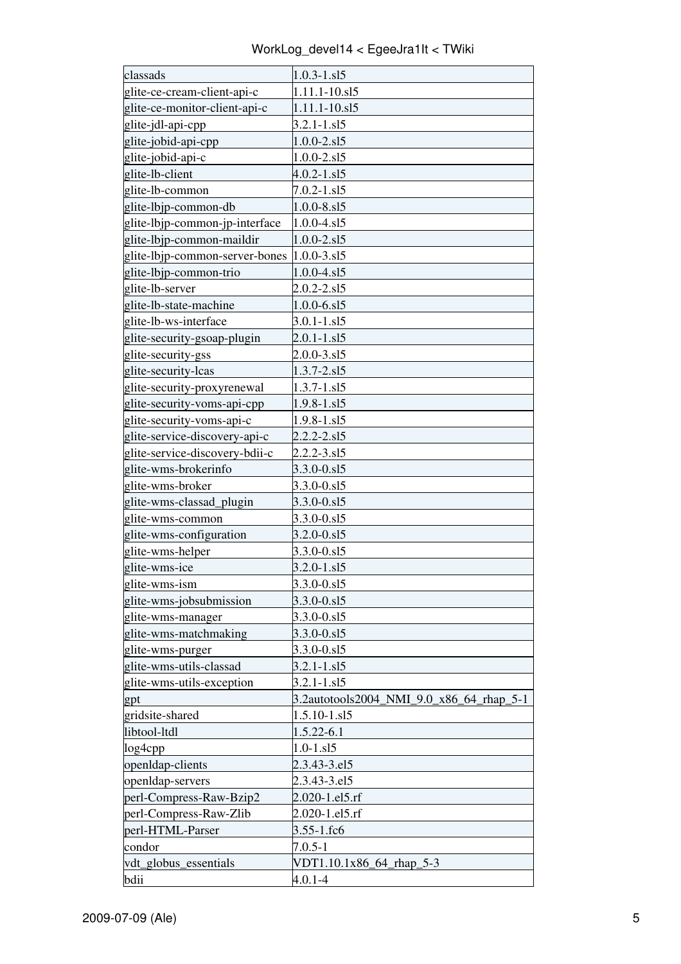WorkLog\_devel14 < EgeeJra1It < TWiki

| classads                       | $1.0.3 - 1. s15$                         |
|--------------------------------|------------------------------------------|
| glite-ce-cream-client-api-c    | 1.11.1-10.sl5                            |
| glite-ce-monitor-client-api-c  | 1.11.1-10.sl5                            |
| glite-jdl-api-cpp              | $3.2.1 - 1. s15$                         |
| glite-jobid-api-cpp            | $1.0.0 - 2. s15$                         |
| glite-jobid-api-c              | $1.0.0 - 2. s15$                         |
| glite-lb-client                | $4.0.2 - 1. s15$                         |
| glite-lb-common                | $7.0.2 - 1. s15$                         |
| glite-lbjp-common-db           | $1.0.0 - 8. s15$                         |
| glite-lbip-common-jp-interface | $1.0.0 - 4. s15$                         |
| glite-lbjp-common-maildir      | $1.0.0 - 2. s15$                         |
| glite-lbjp-common-server-bones | $1.0.0 - 3. s15$                         |
| glite-lbjp-common-trio         | $1.0.0 - 4. s15$                         |
| glite-lb-server                | $2.0.2 - 2. s15$                         |
| glite-lb-state-machine         | $1.0.0 - 6. s15$                         |
| glite-lb-ws-interface          | $3.0.1 - 1. s15$                         |
| glite-security-gsoap-plugin    | $2.0.1 - 1. s15$                         |
| glite-security-gss             | $2.0.0 - 3. s15$                         |
| glite-security-lcas            | 1.3.7-2.sl5                              |
| glite-security-proxyrenewal    | $1.3.7 - 1. s15$                         |
| glite-security-voms-api-cpp    | $1.9.8 - 1. s15$                         |
| glite-security-voms-api-c      | $1.9.8 - 1. s15$                         |
| glite-service-discovery-api-c  | $2.2.2 - 2. s15$                         |
| glite-service-discovery-bdii-c | $2.2.2 - 3.515$                          |
| glite-wms-brokerinfo           | 3.3.0-0.sl5                              |
| glite-wms-broker               | 3.3.0-0.sl5                              |
| glite-wms-classad_plugin       | $3.3.0 - 0. s15$                         |
| glite-wms-common               | 3.3.0-0.sl5                              |
| glite-wms-configuration        | $3.2.0 - 0. s15$                         |
| glite-wms-helper               | 3.3.0-0.sl5                              |
| glite-wms-ice                  | $3.2.0 - 1. s15$                         |
| glite-wms-ism                  | 3.3.0-0.sl5                              |
| glite-wms-jobsubmission        | 3.3.0-0.sl5                              |
| glite-wms-manager              | 3.3.0-0.sl5                              |
| glite-wms-matchmaking          | 3.3.0-0.sl5                              |
| glite-wms-purger               | $3.3.0 - 0.815$                          |
| glite-wms-utils-classad        | $3.2.1 - 1. s15$                         |
| glite-wms-utils-exception      | $3.2.1 - 1. s15$                         |
| gpt                            | 3.2autotools2004_NMI_9.0_x86_64_rhap_5-1 |
| gridsite-shared                | $1.5.10 - 1. s15$                        |
| libtool-ltdl                   | 1.5.22-6.1                               |
| log4cpp                        | $1.0 - 1. s15$                           |
| openIdap-clients               | 2.3.43-3.el5                             |
| openIdap-servers               | 2.3.43-3.el5                             |
| perl-Compress-Raw-Bzip2        | 2.020-1.el5.rf                           |
| perl-Compress-Raw-Zlib         | 2.020-1.el5.rf                           |
| perl-HTML-Parser               | $3.55 - 1.fc6$                           |
| condor                         | $7.0.5 - 1$                              |
| vdt_globus_essentials          | VDT1.10.1x86_64_rhap_5-3                 |
| bdii                           | $4.0.1 - 4$                              |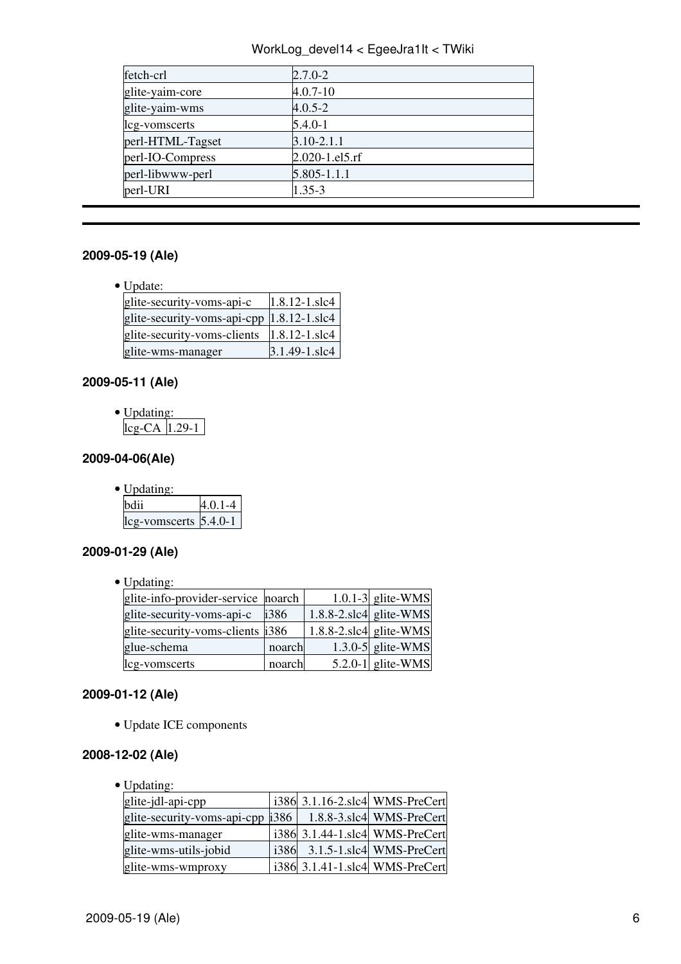### WorkLog\_devel14 < EgeeJra1It < TWiki

| fetch-crl        | $2.7.0 - 2$    |
|------------------|----------------|
| glite-yaim-core  | $4.0.7 - 10$   |
| glite-yaim-wms   | $4.0.5 - 2$    |
| lcg-vomscerts    | $5.4.0 - 1$    |
| perl-HTML-Tagset | $3.10 - 2.1.1$ |
| perl-IO-Compress | 2.020-1.el5.rf |
| perl-libwww-perl | 5.805-1.1.1    |
| perl-URI         | $1.35 - 3$     |

# <span id="page-6-0"></span>**2009-05-19 (Ale)**

• Update:

| glite-security-voms-api-c                  | 1.8.12-1.slc4 |
|--------------------------------------------|---------------|
| glite-security-voms-api-cpp  1.8.12-1.slc4 |               |
| glite-security-voms-clients                | 1.8.12-1.slc4 |
| glite-wms-manager                          | 3.1.49-1.slc4 |

# <span id="page-6-1"></span>**2009-05-11 (Ale)**

| c | Updating: |  |  |  |
|---|-----------|--|--|--|
|   | -CAIL 29  |  |  |  |

# <span id="page-6-2"></span>**2009-04-06(Ale)**

| $\bullet$ Updating:       |             |
|---------------------------|-------------|
| hdii                      | $4.0.1 - 4$ |
| $leg-vomscerts$ $5.4.0-1$ |             |

# <span id="page-6-3"></span>**2009-01-29 (Ale)**

• Updating:

| glite-info-provider-service noarch |        |                            | $1.0.1 - 3$ glite-WMS |
|------------------------------------|--------|----------------------------|-----------------------|
| glite-security-voms-api-c          | i386   | $1.8.8 - 2$ slc4 glite-WMS |                       |
| glite-security-voms-clients i386   |        | $1.8.8 - 2$ slc4 glite-WMS |                       |
| glue-schema                        | noarch |                            | 1.3.0-5 glite-WMS     |
| lcg-vomscerts                      | noarch |                            | $5.2.0 - 1$ glite-WMS |
|                                    |        |                            |                       |

# <span id="page-6-4"></span>**2009-01-12 (Ale)**

• Update ICE components

#### <span id="page-6-5"></span>**2008-12-02 (Ale)**

• Updating:

| glite-jdl-api-cpp                |      | i386 3.1.16-2.slc4 WMS-PreCert |
|----------------------------------|------|--------------------------------|
| glite-security-voms-api-cpp i386 |      | 1.8.8-3.slc4 WMS-PreCert       |
| glite-wms-manager                |      | i386 3.1.44-1.slc4 WMS-PreCert |
| glite-wms-utils-jobid            | i386 | 3.1.5-1.slc4 WMS-PreCert       |
| glite-wms-wmproxy                |      | i386 3.1.41-1.slc4 WMS-PreCert |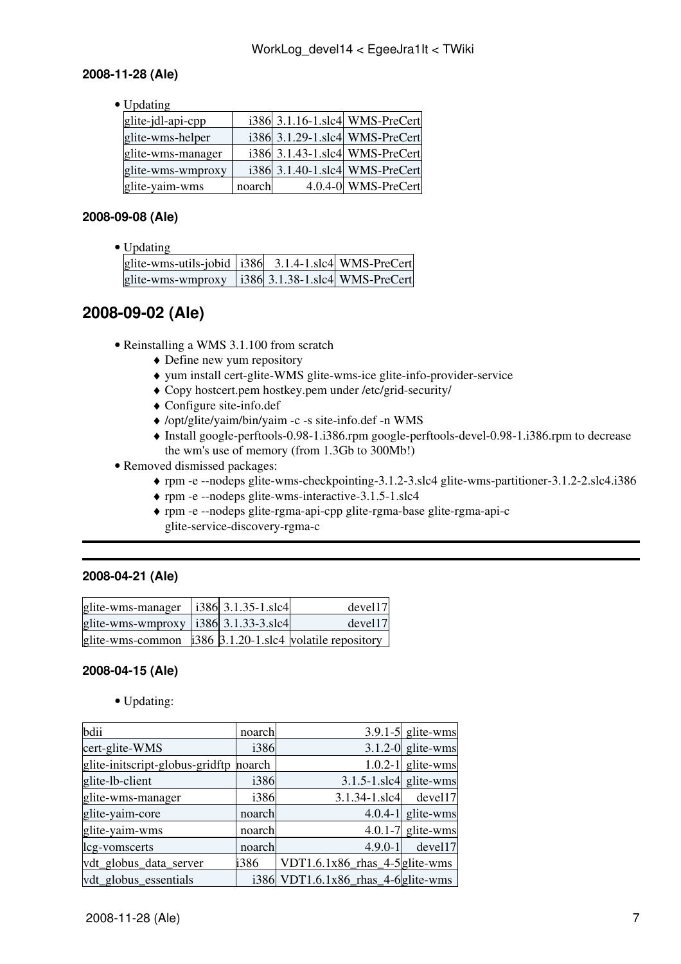### <span id="page-7-0"></span>**2008-11-28 (Ale)**

• Updating

| glite-jdl-api-cpp |        | i386 3.1.16-1.slc4 WMS-PreCert |
|-------------------|--------|--------------------------------|
| glite-wms-helper  |        | i386 3.1.29-1.slc4 WMS-PreCert |
| glite-wms-manager |        | i386 3.1.43-1.slc4 WMS-PreCert |
| glite-wms-wmproxy |        | i386 3.1.40-1.slc4 WMS-PreCert |
| glite-yaim-wms    | noarch | 4.0.4-0 WMS-PreCert            |

# <span id="page-7-1"></span>**2008-09-08 (Ale)**

• Updating

| glite-wms-utils-jobid   i386 3.1.4-1.slc4 WMS-PreCert |  |  |
|-------------------------------------------------------|--|--|
| glite-wms-wmproxy   i386 3.1.38-1.slc4 WMS-PreCert    |  |  |

# <span id="page-7-2"></span>**2008-09-02 (Ale)**

- Reinstalling a WMS 3.1.100 from scratch
	- ♦ Define new yum repository
	- ♦ yum install cert-glite-WMS glite-wms-ice glite-info-provider-service
	- ♦ Copy hostcert.pem hostkey.pem under /etc/grid-security/
	- ♦ Configure site-info.def
	- ♦ /opt/glite/yaim/bin/yaim -c -s site-info.def -n WMS
	- Install google-perftools-0.98-1.i386.rpm google-perftools-devel-0.98-1.i386.rpm to decrease ♦ the wm's use of memory (from 1.3Gb to 300Mb!)
- Removed dismissed packages:
	- ♦ rpm -e --nodeps glite-wms-checkpointing-3.1.2-3.slc4 glite-wms-partitioner-3.1.2-2.slc4.i386
	- ♦ rpm -e --nodeps glite-wms-interactive-3.1.5-1.slc4
	- rpm -e --nodeps glite-rgma-api-cpp glite-rgma-base glite-rgma-api-c ♦ glite-service-discovery-rgma-c

### <span id="page-7-3"></span>**2008-04-21 (Ale)**

| glite-wms-manager   $i386$ 3.1.35-1.slc4                        |  | devel17 |
|-----------------------------------------------------------------|--|---------|
| glite-wms-wmproxy   i386 $\vert$ 3.1.33-3.slc4                  |  | devel17 |
| glite-wms-common $\vert$ i386 3.1.20-1.slc4 volatile repository |  |         |

### <span id="page-7-4"></span>**2008-04-15 (Ale)**

• Updating:

| bdii                            | noarch |                                       | $3.9.1 - 5$ glite-wms |
|---------------------------------|--------|---------------------------------------|-----------------------|
| cert-glite-WMS                  | i386   |                                       | $3.1.2 - 0$ glite-wms |
| glite-initscript-globus-gridftp | noarch |                                       | $1.0.2 - 1$ glite-wms |
| glite-lb-client                 | i386   | $3.1.5 - 1$ .slc4 glite-wms           |                       |
| glite-wms-manager               | i386   | $3.1.34 - 1.$ slc4                    | devel17               |
| glite-yaim-core                 | noarch |                                       | 4.0.4-1 glite-wms     |
| glite-yaim-wms                  | noarch |                                       | 4.0.1-7 glite-wms     |
| lcg-vomscerts                   | noarch | $4.9.0 - 1$                           | devel17               |
| vdt_globus_data_server          | i386   | VDT1.6.1 $x86$ _rhas_4-5 $g$ lite-wms |                       |
| vdt_globus_essentials           |        | i386 VDT1.6.1x86_rhas_4-6glite-wms    |                       |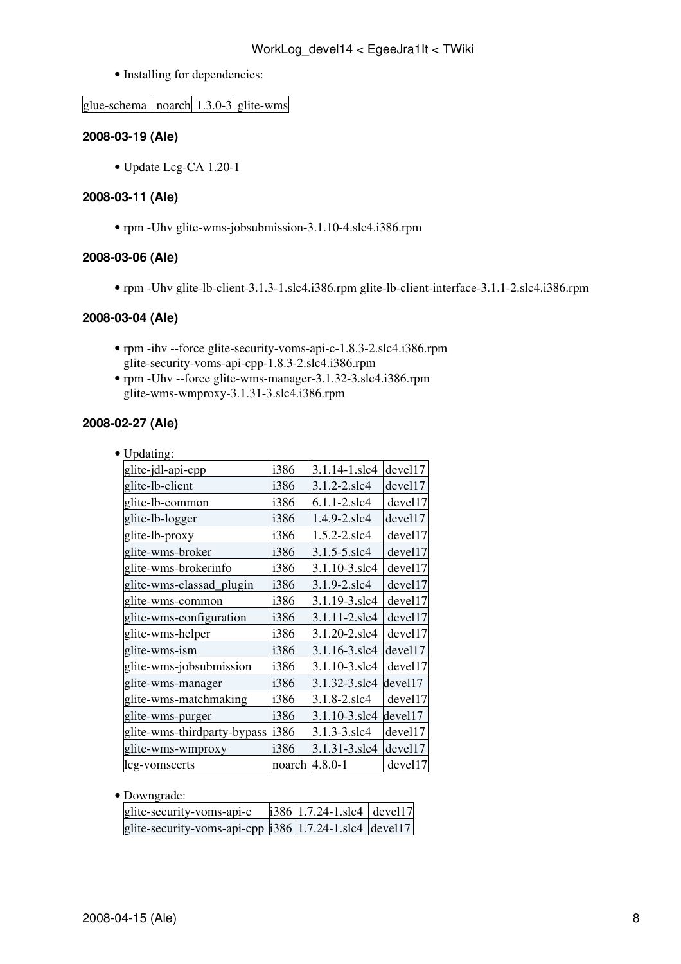• Installing for dependencies:

glue-schema | noarch |  $1.3.0-3$  glite-wms

#### <span id="page-8-0"></span>**2008-03-19 (Ale)**

• Update Lcg-CA 1.20-1

#### <span id="page-8-1"></span>**2008-03-11 (Ale)**

• rpm -Uhv glite-wms-jobsubmission-3.1.10-4.slc4.i386.rpm

### <span id="page-8-2"></span>**2008-03-06 (Ale)**

• rpm -Uhv glite-lb-client-3.1.3-1.slc4.i386.rpm glite-lb-client-interface-3.1.1-2.slc4.i386.rpm

#### <span id="page-8-3"></span>**2008-03-04 (Ale)**

- rpm -ihv --force glite-security-voms-api-c-1.8.3-2.slc4.i386.rpm glite-security-voms-api-cpp-1.8.3-2.slc4.i386.rpm
- rpm -Uhv --force glite-wms-manager-3.1.32-3.slc4.i386.rpm glite-wms-wmproxy-3.1.31-3.slc4.i386.rpm

### <span id="page-8-4"></span>**2008-02-27 (Ale)**

|  |  | pdating |
|--|--|---------|
|--|--|---------|

| i386   | 3.1.14-1.slc4 | devel17     |
|--------|---------------|-------------|
| i386   | 3.1.2-2.slc4  | devel17     |
| i386   | 6.1.1-2.slc4  | devel17     |
| i386   | 1.4.9-2.slc4  | devel17     |
| i386   | 1.5.2-2.slc4  | devel17     |
| i386   | 3.1.5-5.slc4  | devel17     |
| i386   | 3.1.10-3.slc4 | devel17     |
| i386   | 3.1.9-2.slc4  | devel17     |
| i386   | 3.1.19-3.slc4 | devel17     |
| i386   | 3.1.11-2.slc4 | devel17     |
| i386   | 3.1.20-2.slc4 | devel17     |
| i386   | 3.1.16-3.slc4 | devel17     |
| i386   | 3.1.10-3.slc4 | devel17     |
| i386   | 3.1.32-3.slc4 | devel17     |
| i386   | 3.1.8-2.slc4  | devel17     |
| i386   | 3.1.10-3.slc4 | devel17     |
| i386   | 3.1.3-3.slc4  | devel17     |
| i386   | 3.1.31-3.slc4 | devel17     |
| noarch |               | devel17     |
|        |               | $4.8.0 - 1$ |

| $\bullet$ Downgrade: |
|----------------------|
|                      |

| glite-security-voms-api-c                              | i386 $ 1.7.24 - 1.\text{slc4} $ devel17 |  |
|--------------------------------------------------------|-----------------------------------------|--|
| glite-security-voms-api-cpp i386 1.7.24-1.slc4 devel17 |                                         |  |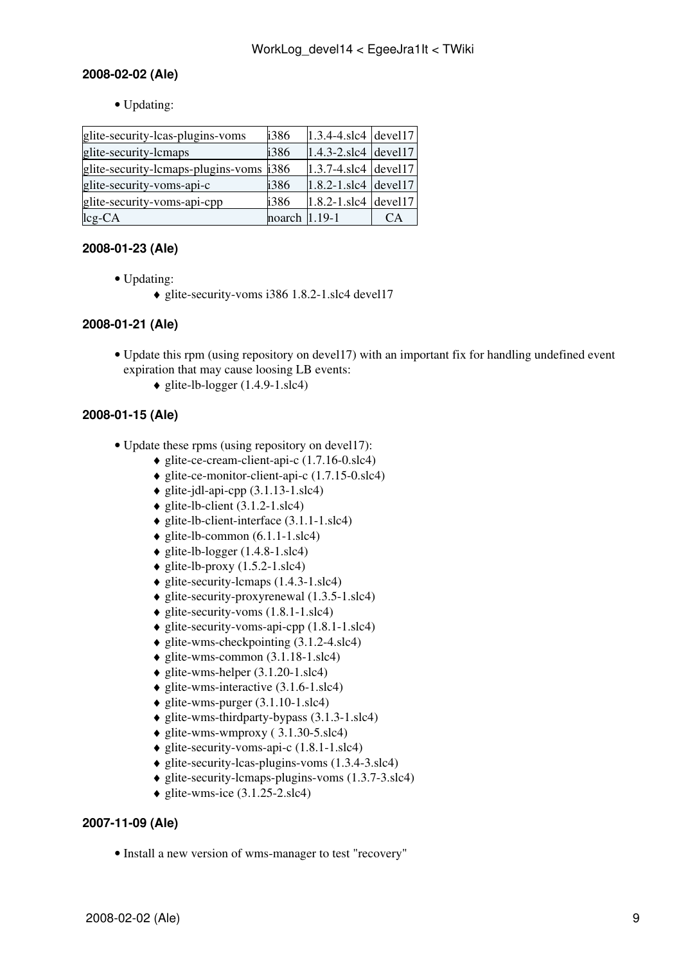# <span id="page-9-0"></span>**2008-02-02 (Ale)**

• Updating:

| glite-security-lcas-plugins-voms        | i386   | $1.3.4 - 4.$ slc4 devel17 |     |
|-----------------------------------------|--------|---------------------------|-----|
| glite-security-lcmaps                   | i386   | $1.4.3 - 2$ .slc4 devel17 |     |
| glite-security-lcmaps-plugins-voms i386 |        | $1.3.7 - 4$ slc4 devel 17 |     |
| glite-security-voms-api-c               | i386   | $1.8.2 - 1$ slc4 devel 17 |     |
| glite-security-voms-api-cpp             | i386   | $1.8.2 - 1$ slc4 devel 17 |     |
| leg <sub>CA</sub>                       | noarch | $1.19 - 1$                | CA) |

# <span id="page-9-1"></span>**2008-01-23 (Ale)**

- Updating:
	- glite-security-voms i386 1.8.2-1.slc4 devel17

### <span id="page-9-2"></span>**2008-01-21 (Ale)**

- Update this rpm (using repository on devel17) with an important fix for handling undefined event expiration that may cause loosing LB events:
	- $\triangleq$  glite-lb-logger (1.4.9-1.slc4)

# <span id="page-9-3"></span>**2008-01-15 (Ale)**

- Update these rpms (using repository on devel17):
	- ♦ glite-ce-cream-client-api-c (1.7.16-0.slc4)
	- $\triangleq$  glite-ce-monitor-client-api-c (1.7.15-0.slc4)
	- $\bullet$  glite-jdl-api-cpp (3.1.13-1.slc4)
	- $\triangle$  glite-lb-client (3.1.2-1.slc4)
	- $\bullet$  glite-lb-client-interface  $(3.1.1-1.\text{slc4})$
	- $\triangle$  glite-lb-common (6.1.1-1.slc4)
	- $\triangle$  glite-lb-logger (1.4.8-1.slc4)
	- $\triangle$  glite-lb-proxy (1.5.2-1.slc4)
	- $\bullet$  glite-security-lcmaps (1.4.3-1.slc4)
	- ♦ glite-security-proxyrenewal (1.3.5-1.slc4)
	- $\triangle$  glite-security-voms (1.8.1-1.slc4)
	- $\triangle$  glite-security-voms-api-cpp  $(1.8.1-1.\text{slc4})$
	- $\bullet$  glite-wms-checkpointing (3.1.2-4.slc4)
	- $\bullet$  glite-wms-common (3.1.18-1.slc4)
	- $\triangle$  glite-wms-helper (3.1.20-1.slc4)
	- $\triangle$  glite-wms-interactive (3.1.6-1.slc4)
	- $\bullet$  glite-wms-purger (3.1.10-1.slc4)
	- ♦ glite-wms-thirdparty-bypass (3.1.3-1.slc4)
	- $\bullet$  glite-wms-wmproxy (3.1.30-5.slc4)
	- $\bullet$  glite-security-voms-api-c  $(1.8.1-1.\text{slc4})$
	- $\triangleq$  glite-security-lcas-plugins-voms (1.3.4-3.slc4)
	- ♦ glite-security-lcmaps-plugins-voms (1.3.7-3.slc4)
	- $\triangleleft$  glite-wms-ice (3.1.25-2.slc4)

### <span id="page-9-4"></span>**2007-11-09 (Ale)**

• Install a new version of wms-manager to test "recovery"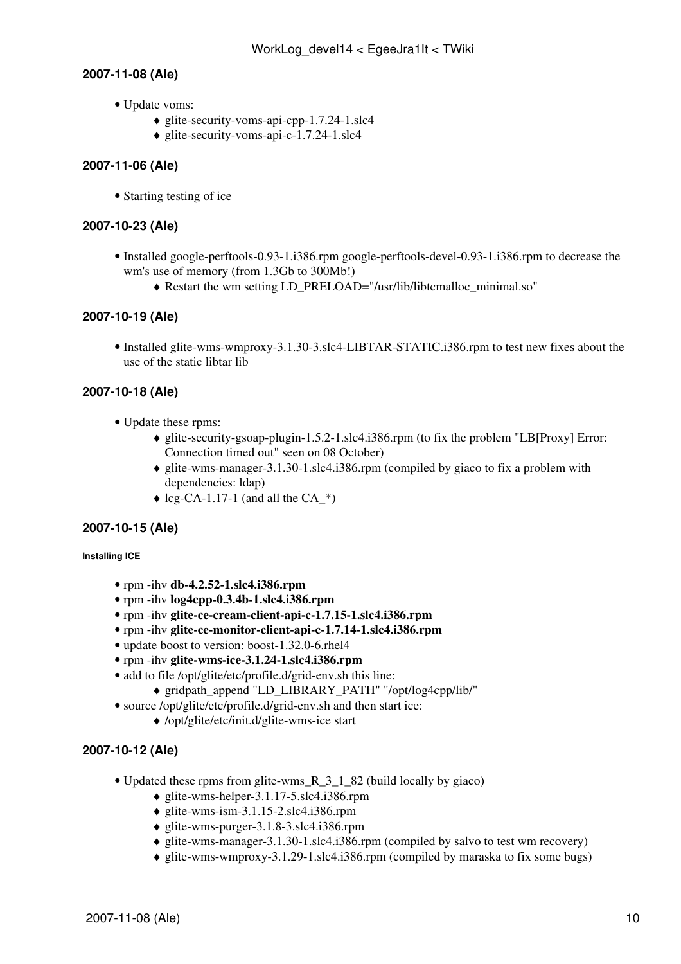### <span id="page-10-0"></span>**2007-11-08 (Ale)**

- Update voms:
	- $\triangleq$  glite-security-voms-api-cpp-1.7.24-1.slc4
	- $\bullet$  glite-security-voms-api-c-1.7.24-1.slc4

### <span id="page-10-1"></span>**2007-11-06 (Ale)**

• Starting testing of ice

#### <span id="page-10-2"></span>**2007-10-23 (Ale)**

- Installed google-perftools-0.93-1.i386.rpm google-perftools-devel-0.93-1.i386.rpm to decrease the wm's use of memory (from 1.3Gb to 300Mb!)
	- ♦ Restart the wm setting LD\_PRELOAD="/usr/lib/libtcmalloc\_minimal.so"

### <span id="page-10-3"></span>**2007-10-19 (Ale)**

• Installed glite-wms-wmproxy-3.1.30-3.slc4-LIBTAR-STATIC.i386.rpm to test new fixes about the use of the static libtar lib

### <span id="page-10-4"></span>**2007-10-18 (Ale)**

- Update these rpms:
	- glite-security-gsoap-plugin-1.5.2-1.slc4.i386.rpm (to fix the problem "LB[Proxy] Error: ♦ Connection timed out" seen on 08 October)
	- glite-wms-manager-3.1.30-1.slc4.i386.rpm (compiled by giaco to fix a problem with ♦ dependencies: ldap)
	- $\triangle$  lcg-CA-1.17-1 (and all the CA  $^*$ )

#### <span id="page-10-5"></span>**2007-10-15 (Ale)**

#### <span id="page-10-6"></span>**Installing ICE**

- rpm -ihv **db-4.2.52-1.slc4.i386.rpm**
- rpm -ihv **log4cpp-0.3.4b-1.slc4.i386.rpm**
- rpm -ihv **glite-ce-cream-client-api-c-1.7.15-1.slc4.i386.rpm**
- rpm -ihv **glite-ce-monitor-client-api-c-1.7.14-1.slc4.i386.rpm**
- update boost to version: boost-1.32.0-6.rhel4
- rpm -ihv **glite-wms-ice-3.1.24-1.slc4.i386.rpm**
- add to file /opt/glite/etc/profile.d/grid-env.sh this line:
	- ♦ gridpath\_append "LD\_LIBRARY\_PATH" "/opt/log4cpp/lib/"
- source /opt/glite/etc/profile.d/grid-env.sh and then start ice:
	- ♦ /opt/glite/etc/init.d/glite-wms-ice start

### <span id="page-10-7"></span>**2007-10-12 (Ale)**

- Updated these rpms from glite-wms\_R\_3\_1\_82 (build locally by giaco)
	- $\bullet$  glite-wms-helper-3.1.17-5.slc4.i386.rpm
	- $\triangleleft$  glite-wms-ism-3.1.15-2.slc4.i386.rpm
	- ♦ glite-wms-purger-3.1.8-3.slc4.i386.rpm
	- ♦ glite-wms-manager-3.1.30-1.slc4.i386.rpm (compiled by salvo to test wm recovery)
	- ♦ glite-wms-wmproxy-3.1.29-1.slc4.i386.rpm (compiled by maraska to fix some bugs)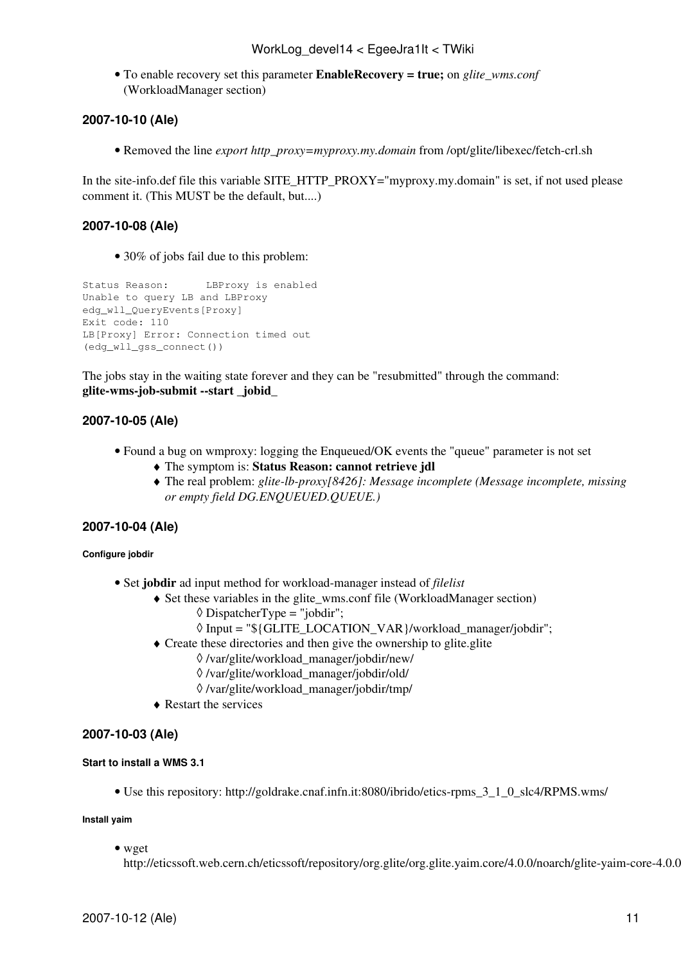To enable recovery set this parameter **EnableRecovery = true;** on *glite\_wms.conf* • ([WorkloadManager](https://wiki-igi.cnaf.infn.it/twiki/bin/edit/EgeeJra1It/WorkloadManager?topicparent=EgeeJra1It.WorkLog_devel14;nowysiwyg=0) section)

### <span id="page-11-0"></span>**2007-10-10 (Ale)**

• Removed the line *export http\_proxy=myproxy.my.domain* from /opt/glite/libexec/fetch-crl.sh

In the site-info.def file this variable SITE\_HTTP\_PROXY="myproxy.my.domain" is set, if not used please comment it. (This MUST be the default, but....)

#### <span id="page-11-1"></span>**2007-10-08 (Ale)**

• 30% of jobs fail due to this problem:

```
Status Reason: LBProxy is enabled
Unable to query LB and LBProxy
edg_wll_QueryEvents[Proxy]
Exit code: 110
LB[Proxy] Error: Connection timed out
(edg_wll_gss_connect())
```
The jobs stay in the waiting state forever and they can be "resubmitted" through the command: **glite-wms-job-submit --start \_jobid\_**

### <span id="page-11-2"></span>**2007-10-05 (Ale)**

- Found a bug on wmproxy: logging the Enqueued/OK events the "queue" parameter is not set
	- ♦ The symptom is: **Status Reason: cannot retrieve jdl**
	- The real problem: *glite-lb-proxy[8426]: Message incomplete (Message incomplete, missing* ♦ *or empty field DG.ENQUEUED.QUEUE.)*

#### <span id="page-11-3"></span>**2007-10-04 (Ale)**

#### <span id="page-11-4"></span>**Configure jobdir**

- Set **jobdir** ad input method for workload-manager instead of *filelist*
	- Set these variables in the glite\_wms.conf file [\(WorkloadManager](https://wiki-igi.cnaf.infn.it/twiki/bin/edit/EgeeJra1It/WorkloadManager?topicparent=EgeeJra1It.WorkLog_devel14;nowysiwyg=0) section) ♦
		- $\Diamond$  [DispatcherType](https://wiki-igi.cnaf.infn.it/twiki/bin/edit/EgeeJra1It/DispatcherType?topicparent=EgeeJra1It.WorkLog_devel14;nowysiwyg=0) = "jobdir":
		- ◊ Input = "\${GLITE\_LOCATION\_VAR}/workload\_manager/jobdir";
	- Create these directories and then give the ownership to glite.glite ♦
		- ◊ /var/glite/workload\_manager/jobdir/new/
		- ◊ /var/glite/workload\_manager/jobdir/old/
		- ◊ /var/glite/workload\_manager/jobdir/tmp/
	- ♦ Restart the services

#### <span id="page-11-5"></span>**2007-10-03 (Ale)**

#### <span id="page-11-6"></span>**Start to install a WMS 3.1**

• Use this repository: http://goldrake.cnaf.infn.it:8080/ibrido/etics-rpms 3\_1\_0\_slc4/RPMS.wms/

#### **Install yaim**

• wget

http://eticssoft.web.cern.ch/eticssoft/repository/org.glite/org.glite.yaim.core/4.0.0/noarch/glite-yaim-core-4.0.0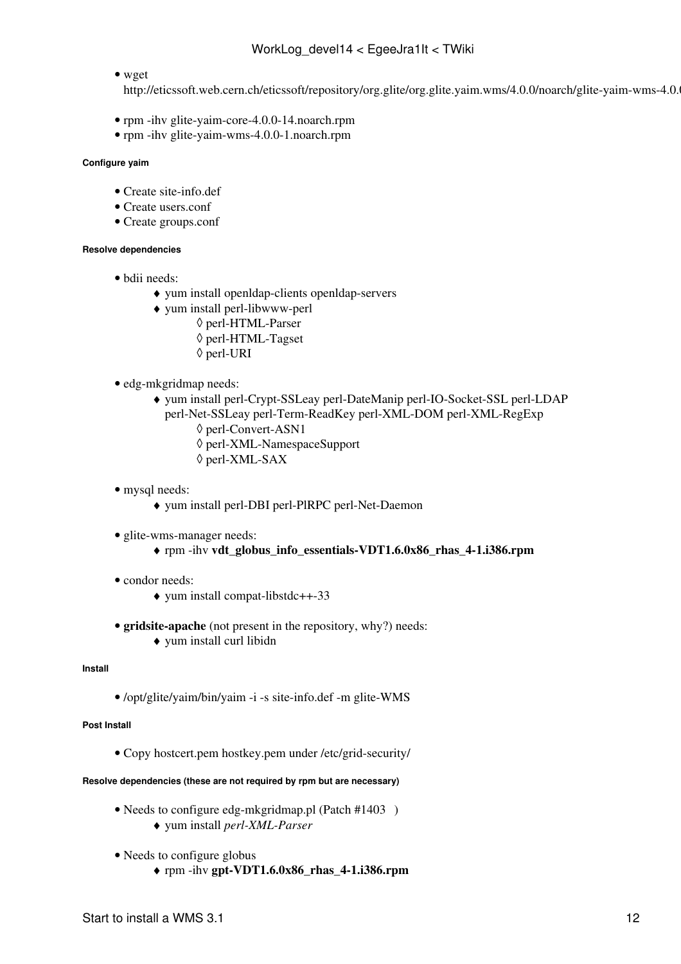#### • wget

http://eticssoft.web.cern.ch/eticssoft/repository/org.glite/org.glite.yaim.wms/4.0.0/noarch/glite-yaim-wms-4.0.

- rpm -ihv glite-yaim-core-4.0.0-14.noarch.rpm
- rpm -ihv glite-yaim-wms-4.0.0-1.noarch.rpm

#### **Configure yaim**

- Create site-info.def
- Create users.conf
- Create groups.conf

#### **Resolve dependencies**

- bdii needs:
	- ♦ yum install openldap-clients openldap-servers
	- yum install perl-libwww-perl ♦
		- ◊ perl-HTML-Parser
		- ◊ perl-HTML-Tagset
		- ◊ perl-URI
- edg-mkgridmap needs:
	- yum install perl-Crypt-SSLeay perl-DateManip perl-IO-Socket-SSL perl-LDAP ♦ perl-Net-SSLeay perl-Term-ReadKey perl-XML-DOM perl-XML-RegExp
		- ◊ perl-Convert-ASN1
		- ◊ perl-XML-NamespaceSupport
		- ◊ perl-XML-SAX
- mysql needs:
	- ♦ yum install perl-DBI perl-PlRPC perl-Net-Daemon
- glite-wms-manager needs:
	- ♦ rpm -ihv **vdt\_globus\_info\_essentials-VDT1.6.0x86\_rhas\_4-1.i386.rpm**
- condor needs:
	- ♦ yum install compat-libstdc++-33
- **gridsite-apache** (not present in the repository, why?) needs: ♦ yum install curl libidn

#### **Install**

• /opt/glite/yaim/bin/yaim -i -s site-info.def -m glite-WMS

#### **Post Install**

• Copy hostcert.pem hostkey.pem under /etc/grid-security/

#### **Resolve dependencies (these are not required by rpm but are necessary)**

- Needs to configure edg-mkgridmap.pl (Patch [#1403](https://savannah.cern.ch/patch/?1403))
	- ♦ yum install *perl-XML-Parser*
- Needs to configure globus
	- ♦ rpm -ihv **gpt-VDT1.6.0x86\_rhas\_4-1.i386.rpm**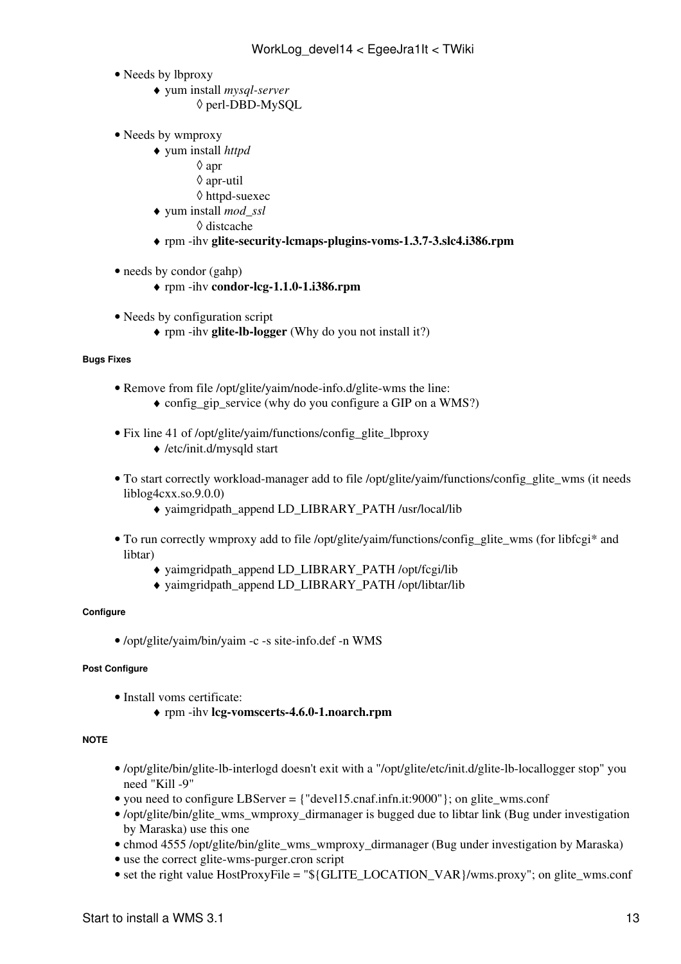- Needs by lbproxy
	- yum install *mysql-server* ♦ ◊ perl-DBD-MySQL
- Needs by wmproxy
	- yum install *httpd* ♦
		- ◊ apr
		- ◊ apr-util
		- ◊ httpd-suexec
	- yum install *mod\_ssl* ♦
		- ◊ distcache
	- ♦ rpm -ihv **glite-security-lcmaps-plugins-voms-1.3.7-3.slc4.i386.rpm**
- needs by condor (gahp)
	- ♦ rpm -ihv **condor-lcg-1.1.0-1.i386.rpm**
- Needs by configuration script
	- ♦ rpm -ihv **glite-lb-logger** (Why do you not install it?)

#### **Bugs Fixes**

- Remove from file /opt/glite/yaim/node-info.d/glite-wms the line:
	- ♦ config\_gip\_service (why do you configure a GIP on a WMS?)
- Fix line 41 of /opt/glite/yaim/functions/config\_glite\_lbproxy
	- ♦ /etc/init.d/mysqld start
- To start correctly workload-manager add to file /opt/glite/yaim/functions/config\_glite\_wms (it needs liblog4cxx.so.9.0.0)
	- ♦ yaimgridpath\_append LD\_LIBRARY\_PATH /usr/local/lib
- To run correctly wmproxy add to file /opt/glite/yaim/functions/config\_glite\_wms (for libfcgi\* and libtar)
	- ♦ yaimgridpath\_append LD\_LIBRARY\_PATH /opt/fcgi/lib
	- ♦ yaimgridpath\_append LD\_LIBRARY\_PATH /opt/libtar/lib

#### **Configure**

• /opt/glite/yaim/bin/yaim -c -s site-info.def -n WMS

#### **Post Configure**

- Install voms certificate:
	- ♦ rpm -ihv **lcg-vomscerts-4.6.0-1.noarch.rpm**

#### **NOTE**

- /opt/glite/bin/glite-lb-interlogd doesn't exit with a "/opt/glite/etc/init.d/glite-lb-locallogger stop" you need "Kill -9"
- you need to configure LBServer = {"devell5.cnaf.infn.it:9000"}; on glite wms.conf
- /opt/glite/bin/glite\_wms\_wmproxy\_dirmanager is bugged due to libtar link (Bug under investigation by Maraska) use [this one](https://wiki-igi.cnaf.infn.it/twiki/pub/EgeeJra1It/WorkLog_devel14/glite_wms_wmproxy_dirmanager)
- chmod 4555 /opt/glite/bin/glite\_wms\_wmproxy\_dirmanager (Bug under investigation by Maraska)
- use the correct [glite-wms-purger.cron](https://wiki-igi.cnaf.infn.it/twiki/pub/EgeeJra1It/WorkLog_devel14/glite-wms-purger.cron) script
- set the right value [HostProxyFile](https://wiki-igi.cnaf.infn.it/twiki/bin/edit/EgeeJra1It/HostProxyFile?topicparent=EgeeJra1It.WorkLog_devel14;nowysiwyg=0) = "\${GLITE\_LOCATION\_VAR}/wms.proxy"; on glite\_wms.conf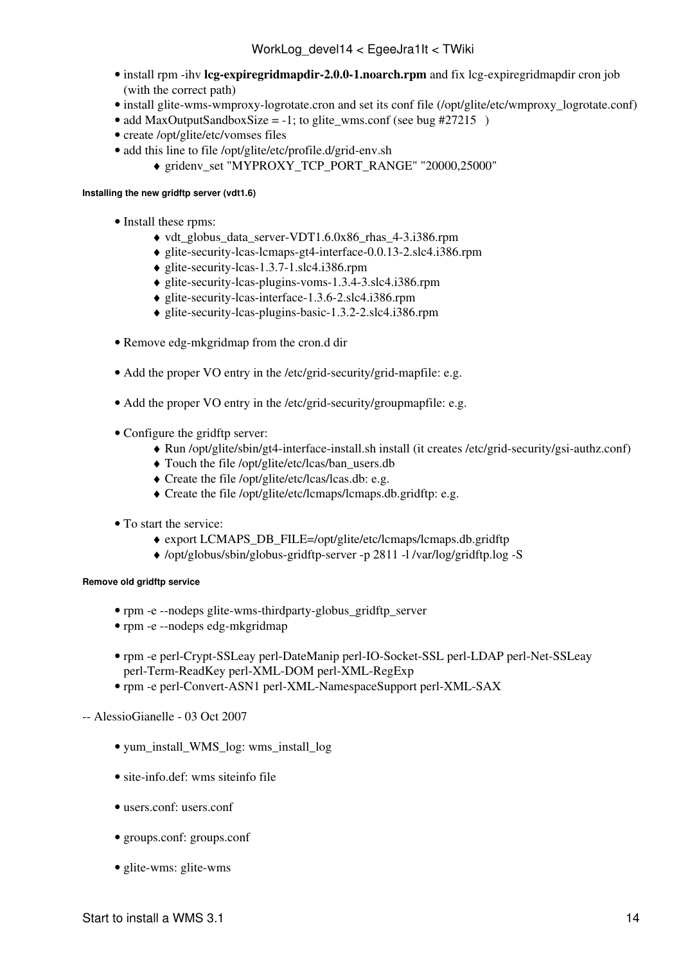- install rpm -ihv lcg-expiregridmapdir-2.0.0-1.noarch.rpm and fix lcg-expiregridmapdir cron job (with the correct path)
- install [glite-wms-wmproxy-logrotate.cron](https://wiki-igi.cnaf.infn.it/twiki/pub/EgeeJra1It/WorkLog_devel14/glite-wms-wmproxy-logrotate.cron) and set its conf file (/opt/glite/etc/wmproxy\_logrotate.conf)
- add [MaxOutputSandboxSize](https://wiki-igi.cnaf.infn.it/twiki/bin/edit/EgeeJra1It/MaxOutputSandboxSize?topicparent=EgeeJra1It.WorkLog_devel14;nowysiwyg=0) = -1; to glite wms.conf (see bug [#27215](https://savannah.cern.ch/bugs/index.php?27215) )
- create /opt/glite/etc/vomses files
- add this line to file /opt/glite/etc/profile.d/grid-env.sh
	- ♦ gridenv\_set "MYPROXY\_TCP\_PORT\_RANGE" "20000,25000"

#### **Installing the new gridftp server (vdt1.6)**

- Install these rpms:
	- $\blacklozenge$  vdt globus data server-VDT1.6.0x86 rhas 4-3.i386.rpm
	- ♦ glite-security-lcas-lcmaps-gt4-interface-0.0.13-2.slc4.i386.rpm
	- ♦ glite-security-lcas-1.3.7-1.slc4.i386.rpm
	- ♦ glite-security-lcas-plugins-voms-1.3.4-3.slc4.i386.rpm
	- ♦ glite-security-lcas-interface-1.3.6-2.slc4.i386.rpm
	- ♦ glite-security-lcas-plugins-basic-1.3.2-2.slc4.i386.rpm
- Remove edg-mkgridmap from the cron.d dir
- Add the proper VO entry in the /etc/grid-security/grid-mapfile: [e.g.](https://wiki-igi.cnaf.infn.it/twiki/pub/EgeeJra1It/WorkLog_devel14/grid-mapfile)
- Add the proper VO entry in the /etc/grid-security/groupmapfile: [e.g.](https://wiki-igi.cnaf.infn.it/twiki/pub/EgeeJra1It/WorkLog_devel14/groupmapfile)
- Configure the gridftp server:
	- ♦ Run /opt/glite/sbin/gt4-interface-install.sh install (it creates /etc/grid-security/gsi-authz.conf)
	- ♦ Touch the file /opt/glite/etc/lcas/ban\_users.db
	- ♦ Create the file /opt/glite/etc/lcas/lcas.db: [e.g.](https://twiki.cnaf.infn.it/cgi-bin/twiki/viewfile/EgeeJra1It/WorkLog_devel14?rev=1;filename=lcas.db)
	- ♦ Create the file /opt/glite/etc/lcmaps/lcmaps.db.gridftp: [e.g.](https://wiki-igi.cnaf.infn.it/twiki/pub/EgeeJra1It/WorkLog_devel14/lcmaps.db.gridftp)
- To start the service:
	- ♦ export LCMAPS\_DB\_FILE=/opt/glite/etc/lcmaps/lcmaps.db.gridftp
	- ♦ /opt/globus/sbin/globus-gridftp-server -p 2811 -l /var/log/gridftp.log -S

#### **Remove old gridftp service**

- rpm -e --nodeps glite-wms-thirdparty-globus\_gridftp\_server
- rpm -e --nodeps edg-mkgridmap
- rpm -e perl-Crypt-SSLeay perl-DateManip perl-IO-Socket-SSL perl-LDAP perl-Net-SSLeay perl-Term-ReadKey perl-XML-DOM perl-XML-RegExp
- rpm -e perl-Convert-ASN1 perl-XML-NamespaceSupport perl-XML-SAX

#### -- [AlessioGianelle](https://wiki-igi.cnaf.infn.it/twiki/bin/view/Main/AlessioGianelle) - 03 Oct 2007

- [yum\\_install\\_WMS\\_log](https://wiki-igi.cnaf.infn.it/twiki/pub/EgeeJra1It/WorkLog_devel14/yum_install_WMS_log): wms\_install\_log
- [site-info.def:](https://wiki-igi.cnaf.infn.it/twiki/pub/EgeeJra1It/WorkLog_devel14/site-info.def) wms siteinfo file
- [users.conf:](https://wiki-igi.cnaf.infn.it/twiki/pub/EgeeJra1It/WorkLog_devel14/users.conf) users.conf
- [groups.conf](https://wiki-igi.cnaf.infn.it/twiki/pub/EgeeJra1It/WorkLog_devel14/groups.conf): groups.conf
- [glite-wms](https://wiki-igi.cnaf.infn.it/twiki/pub/EgeeJra1It/WorkLog_devel14/glite-wms): glite-wms